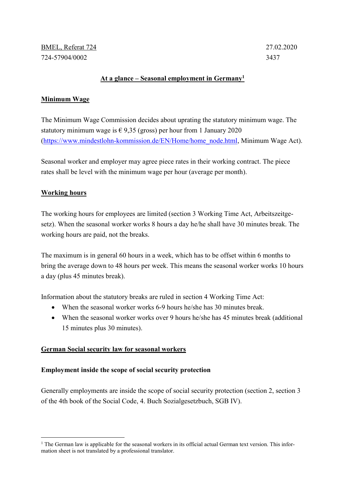# At a glance – Seasonal employment in  $Germany<sup>1</sup>$

## Minimum Wage

The Minimum Wage Commission decides about uprating the statutory minimum wage. The statutory minimum wage is  $\epsilon$  9,35 (gross) per hour from 1 January 2020 (https://www.mindestlohn-kommission.de/EN/Home/home\_node.html, Minimum Wage Act).

Seasonal worker and employer may agree piece rates in their working contract. The piece rates shall be level with the minimum wage per hour (average per month).

# Working hours

-

The working hours for employees are limited (section 3 Working Time Act, Arbeitszeitgesetz). When the seasonal worker works 8 hours a day he/he shall have 30 minutes break. The working hours are paid, not the breaks.

The maximum is in general 60 hours in a week, which has to be offset within 6 months to bring the average down to 48 hours per week. This means the seasonal worker works 10 hours a day (plus 45 minutes break).

Information about the statutory breaks are ruled in section 4 Working Time Act:

- When the seasonal worker works 6-9 hours he/she has 30 minutes break.
- When the seasonal worker works over 9 hours he/she has 45 minutes break (additional 15 minutes plus 30 minutes).

### German Social security law for seasonal workers

### Employment inside the scope of social security protection

Generally employments are inside the scope of social security protection (section 2, section 3 of the 4th book of the Social Code, 4. Buch Sozialgesetzbuch, SGB IV).

<sup>&</sup>lt;sup>1</sup> The German law is applicable for the seasonal workers in its official actual German text version. This information sheet is not translated by a professional translator.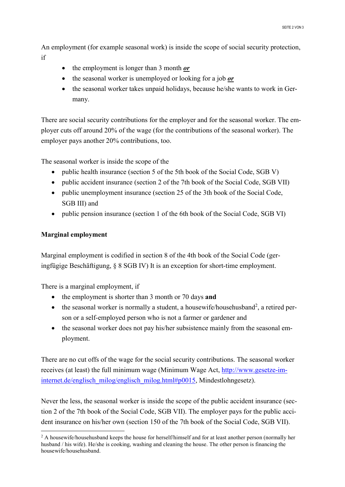An employment (for example seasonal work) is inside the scope of social security protection, if

- $\bullet$  the employment is longer than 3 month *or*
- $\bullet$  the seasonal worker is unemployed or looking for a job *or*
- the seasonal worker takes unpaid holidays, because he/she wants to work in Germany.

There are social security contributions for the employer and for the seasonal worker. The employer cuts off around 20% of the wage (for the contributions of the seasonal worker). The employer pays another 20% contributions, too.

The seasonal worker is inside the scope of the

- public health insurance (section 5 of the 5th book of the Social Code, SGB V)
- public accident insurance (section 2 of the 7th book of the Social Code, SGB VII)
- public unemployment insurance (section 25 of the 3th book of the Social Code, SGB III) and
- public pension insurance (section 1 of the 6th book of the Social Code, SGB VI)

### Marginal employment

-

Marginal employment is codified in section 8 of the 4th book of the Social Code (geringfügige Beschäftigung, § 8 SGB IV) It is an exception for short-time employment.

There is a marginal employment, if

- $\bullet$  the employment is shorter than 3 month or 70 days and
- $\bullet$  the seasonal worker is normally a student, a housewife/househusband<sup>2</sup>, a retired person or a self-employed person who is not a farmer or gardener and
- the seasonal worker does not pay his/her subsistence mainly from the seasonal employment.

There are no cut offs of the wage for the social security contributions. The seasonal worker receives (at least) the full minimum wage (Minimum Wage Act, http://www.gesetze-iminternet.de/englisch\_milog/englisch\_milog.html#p0015, Mindestlohngesetz).

Never the less, the seasonal worker is inside the scope of the public accident insurance (section 2 of the 7th book of the Social Code, SGB VII). The employer pays for the public accident insurance on his/her own (section 150 of the 7th book of the Social Code, SGB VII).

 $2$  A housewife/househusband keeps the house for herself/himself and for at least another person (normally her husband / his wife). He/she is cooking, washing and cleaning the house. The other person is financing the housewife/househusband.